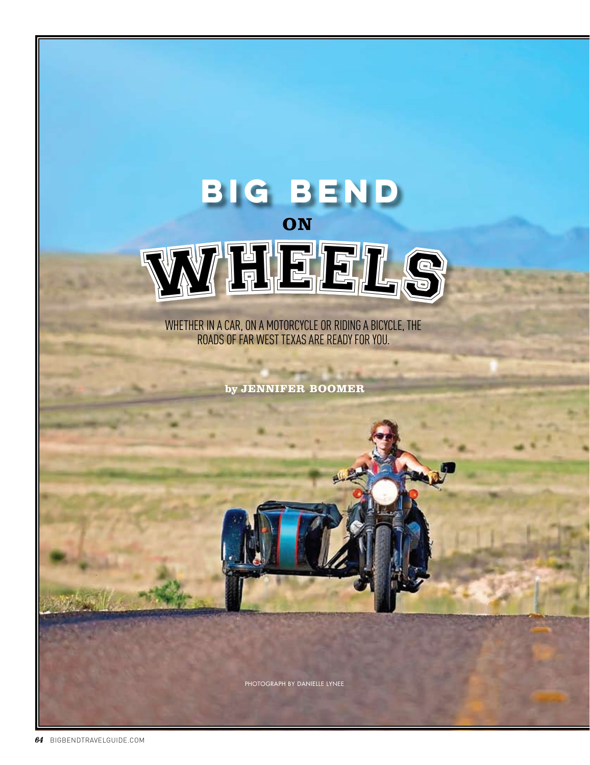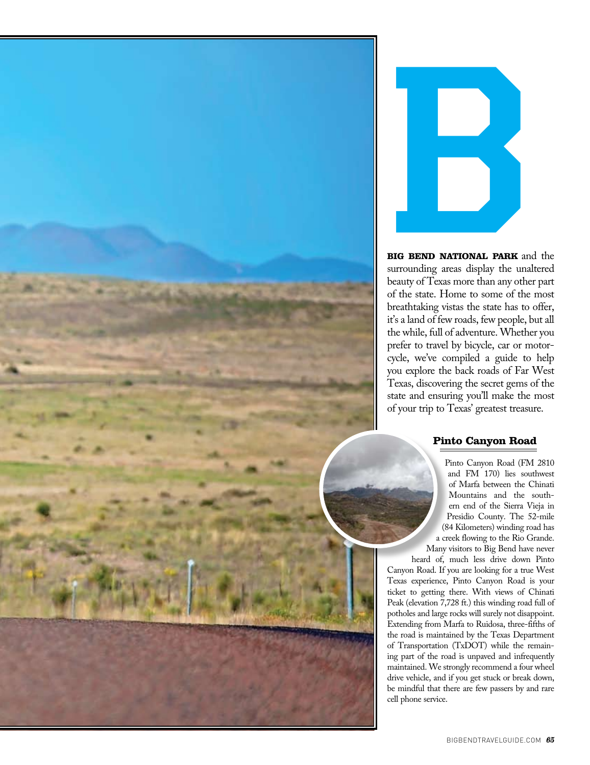



**BIG BEND NATIONAL PARK** and the surrounding areas display the unaltered beauty of Texas more than any other part of the state. Home to some of the most breathtaking vistas the state has to offer, it's a land of few roads, few people, but all the while, full of adventure. Whether you prefer to travel by bicycle, car or motorcycle, we've compiled a guide to help you explore the back roads of Far West Texas, discovering the secret gems of the state and ensuring you'll make the most of your trip to Texas' greatest treasure.

# **Pinto Canyon Road**

Pinto Canyon Road (FM 2810 and FM 170) lies southwest of Marfa between the Chinati Mountains and the southern end of the Sierra Vieja in Presidio County. The 52-mile (84 Kilometers) winding road has a creek flowing to the Rio Grande. Many visitors to Big Bend have never

heard of, much less drive down Pinto Canyon Road. If you are looking for a true West Texas experience, Pinto Canyon Road is your ticket to getting there. With views of Chinati Peak (elevation 7,728 ft.) this winding road full of potholes and large rocks will surely not disappoint. Extending from Marfa to Ruidosa, three-fifths of the road is maintained by the Texas Department of Transportation (TxDOT) while the remaining part of the road is unpaved and infrequently maintained. We strongly recommend a four wheel drive vehicle, and if you get stuck or break down, be mindful that there are few passers by and rare cell phone service.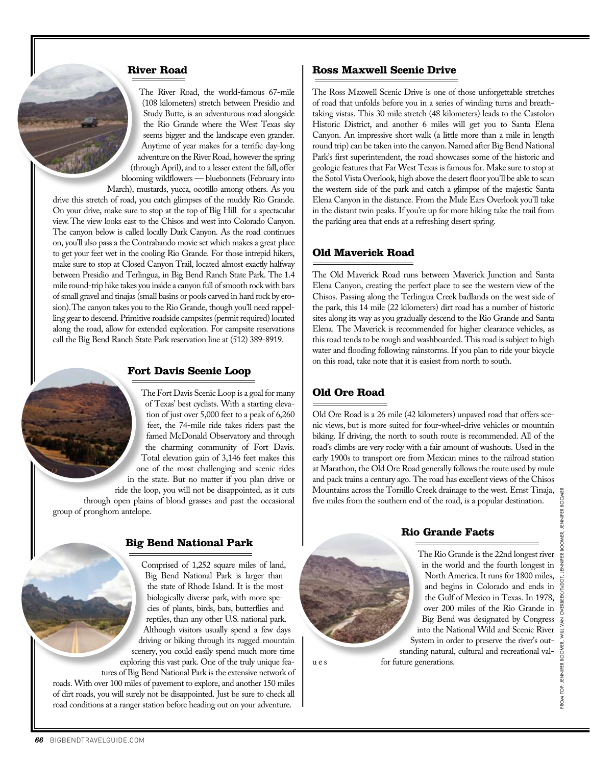### **River Road**

The River Road, the world-famous 67-mile (108 kilometers) stretch between Presidio and Study Butte, is an adventurous road alongside the Rio Grande where the West Texas sky seems bigger and the landscape even grander. Anytime of year makes for a terrific day-long adventure on the River Road, however the spring (through April), and to a lesser extent the fall, offer blooming wildflowers — bluebonnets (February into March), mustards, yucca, ocotillo among others. As you drive this stretch of road, you catch glimpses of the muddy Rio Grande. On your drive, make sure to stop at the top of Big Hill for a spectacular view. The view looks east to the Chisos and west into Colorado Canyon. The canyon below is called locally Dark Canyon. As the road continues on, you'll also pass a the Contrabando movie set which makes a great place to get your feet wet in the cooling Rio Grande. For those intrepid hikers, make sure to stop at Closed Canyon Trail, located almost exactly halfway between Presidio and Terlingua, in Big Bend Ranch State Park. The 1.4 mile round-trip hike takes you inside a canyon full of smooth rock with bars of small gravel and tinajas (small basins or pools carved in hard rock by erosion). The canyon takes you to the Rio Grande, though you'll need rappelling gear to descend. Primitive roadside campsites (permit required) located along the road, allow for extended exploration. For campsite reservations call the Big Bend Ranch State Park reservation line at (512) 389-8919.

### **Fort Davis Scenic Loop**

The Fort Davis Scenic Loop is a goal for many of Texas' best cyclists. With a starting elevation of just over 5,000 feet to a peak of 6,260 feet, the 74-mile ride takes riders past the famed McDonald Observatory and through the charming community of Fort Davis. Total elevation gain of 3,146 feet makes this one of the most challenging and scenic rides in the state. But no matter if you plan drive or ride the loop, you will not be disappointed, as it cuts through open plains of blond grasses and past the occasional group of pronghorn antelope.

# **Big Bend National Park**

Comprised of 1,252 square miles of land, Big Bend National Park is larger than the state of Rhode Island. It is the most biologically diverse park, with more species of plants, birds, bats, butterflies and reptiles, than any other U.S. national park. Although visitors usually spend a few days driving or biking through its rugged mountain scenery, you could easily spend much more time exploring this vast park. One of the truly unique features of Big Bend National Park is the extensive network of roads. With over 100 miles of pavement to explore, and another 150 miles of dirt roads, you will surely not be disappointed. Just be sure to check all road conditions at a ranger station before heading out on your adventure.

## **Ross Maxwell Scenic Drive**

The Ross Maxwell Scenic Drive is one of those unforgettable stretches of road that unfolds before you in a series of winding turns and breathtaking vistas. This 30 mile stretch (48 kilometers) leads to the Castolon Historic District, and another 6 miles will get you to Santa Elena Canyon. An impressive short walk (a little more than a mile in length round trip) can be taken into the canyon. Named after Big Bend National Park's first superintendent, the road showcases some of the historic and geologic features that Far West Texas is famous for. Make sure to stop at the Sotol Vista Overlook, high above the desert floor you'll be able to scan the western side of the park and catch a glimpse of the majestic Santa Elena Canyon in the distance. From the Mule Ears Overlook you'll take in the distant twin peaks. If you're up for more hiking take the trail from the parking area that ends at a refreshing desert spring.

## **Old Maverick Road**

The Old Maverick Road runs between Maverick Junction and Santa Elena Canyon, creating the perfect place to see the western view of the Chisos. Passing along the Terlingua Creek badlands on the west side of the park, this 14 mile (22 kilometers) dirt road has a number of historic sites along its way as you gradually descend to the Rio Grande and Santa Elena. The Maverick is recommended for higher clearance vehicles, as this road tends to be rough and washboarded. This road is subject to high water and flooding following rainstorms. If you plan to ride your bicycle on this road, take note that it is easiest from north to south.

## **Old Ore Road**

Old Ore Road is a 26 mile (42 kilometers) unpaved road that offers scenic views, but is more suited for four-wheel-drive vehicles or mountain biking. If driving, the north to south route is recommended. All of the road's climbs are very rocky with a fair amount of washouts. Used in the early 1900s to transport ore from Mexican mines to the railroad station at Marathon, the Old Ore Road generally follows the route used by mule and pack trains a century ago. The road has excellent views of the Chisos Mountains across the Tornillo Creek drainage to the west. Ernst Tinaja,  $\frac{8}{8}$  five miles from the southern end of the road, is a popular destination. five miles from the southern end of the road, is a popular destination.

**Rio Grande Facts**



North America. It runs for 1800 miles, and begins in Colorado and ends in the Gulf of Mexico in Texas. In 1978, over 200 miles of the Rio Grande in Big Bend was designated by Congress into the National Wild and Scenic River System in order to preserve the river's outstanding natural, cultural and recreational val-

The Rio Grande is the 22nd longest river

u e s for future generations.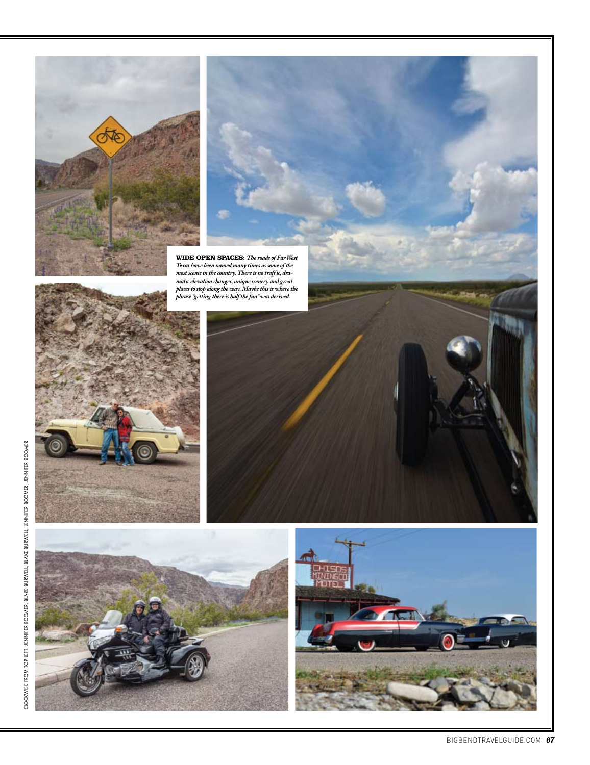